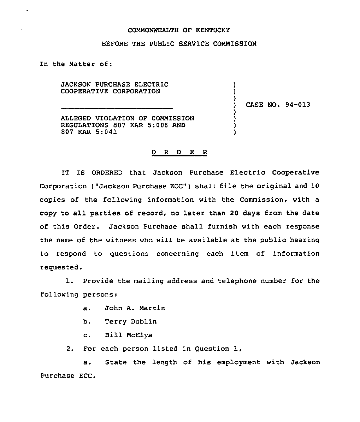## COMMONWEALTH OF KENTUCKY

## BEFORE THE PUBLIC SERVICE CONMISSION

In the Natter of:

 $\bullet$ 

JACKSON PURCHASE ELECTRIC COOPERATIVE CORPORATION

) CASE NO. 94-013

) )

)

) ) ) )

ALLEGED VIOLATION OF CONMISSION REGULATIONS 807 KAR 5:006 AND 807 KAR 5:041

## 0 <sup>R</sup> <sup>D</sup> E <sup>R</sup>

IT IS ORDERED that Jackson Purchase Electric Cooperative Corporation ("Jackson Purchase ECC") shall file the original and 10 copies of the following information with the Commission, with a copy to all parties of record, no later than 20 days from the date of this Order. Jackson Purchase shall furnish with each response the name of the witness who will be available at the public hearing to respond to questions concerning each item of information requested.

1. Provide the mailing address and telephone number for the following persons:

- a. John A. Martin
- b. Terry Dublin
- c. Bill McElya

2. For each person listed in Question 1,

a. State the length of his employment with Jackson Purchase ECC.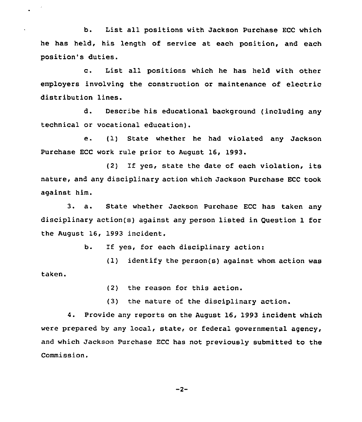b. List all positions with Jackson Purchase ECC which he has held, his length of service at each position, and each position's duties.

c. List all positions which he has held with other employers involving the construction or maintenance of electric distribution lines.

d. Describe his educational background (including any technical or vocational education).

e. (1) State whether he had violated any Jackson Purchase ECC work rule prior to August 16, 1993.

(2) If yes, state the date of each violation, its nature, and any disciplinary action which Jackson Purchase ECC took against him.

3. a. State whether Jackson Purchase ECC has taken any disciplinary action(s) against any person listed in Question 1 for the August 16, 1993 incident.

b. If yes, for each disciplinary action:

(1) identify the person(s) against whom action was taken.

(2) the reason for this action.

(3) the nature of the disciplinary action.

4. Provide any reports on the August 16, 1993 incident which were prepared by any local, state, or federal governmental agency, and which Jackson Purchase ECC has not previously submitted to the Commission.

 $-2-$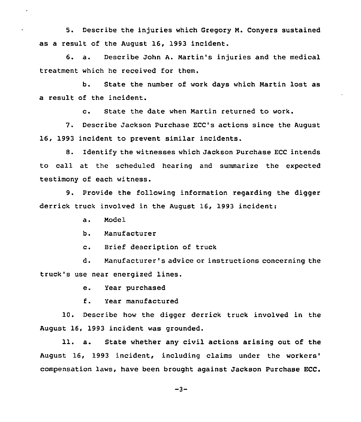5. Describe the injuries which Gregory M. Conyers sustained as a result of the August 16, 1993 incident.

6. a. Describe John A. Martin's injuries and the medical treatment which he received for them.

b. State the number of work days which Martin lost as a result of the incident.

c. State the date when Martin returned to work.

7. Describe Jackson Purchase ECC's actions since the August 16, 1993 incident to prevent similar incidents.

B. Identify the witnesses which Jackson Purchase ECC intends to call at the scheduled hearing and summarize the expected testimony of each witness.

9. Provide the following information regarding the digger derrick truck involved in the August 16, 1993 incident:

a. Model

 $\ddot{\phantom{0}}$ 

b. Manufacturer

c. Brief description of truck

d. Manufacturer's advice or instructions concerning the truck's use near energized lines.

e. Year purchased

f. Year manufactured

10. Describe how the digger derrick truck involved in the August 16, 1993 incident was grounded.

11. a. State whether any civil actions arising out of the August 16, 1993 incident, including claims under the laws, have been brought against Jackson Purchase ECC.

 $-3-$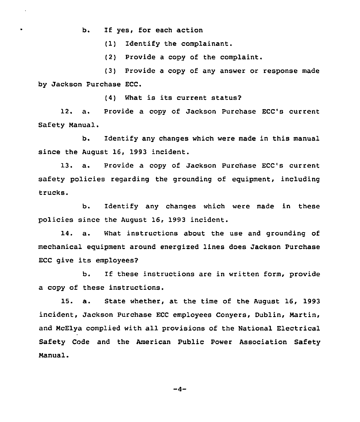b. If yes, for each action

 $\ddot{\phantom{1}}$ 

 $\bullet$ 

(1) Identify the complainant.

(2) Provide a copy of the complaint.

(3) Provide a copy of any answer or response made by Jackson Purchase ECC.

(4) What is its current status?

12. a. Provide a copy of Jackson Purchase ECC's current Safety Manual.

b. Identify any changes which were made in this manual since the August 16, 1993 incident.

13. a. Provide a copy of Jackson Purchase ECC's current safety policies regarding the grounding of equipment, including trucks.

b. Identify any changes which were made in these policies since the August 16, 1993 incident.

14. a. What instructions about the use and grounding of mechanical equipment around energized lines does Jackson Purchase ECC give its employees?

b. If these instructions are in written form, provide a copy of these instructions.

15. a. State whether, at the time of the August 16, 1993 incident, Jackson Purchase ECC employees Conyers, Dublin, Martin, and McElya complied with all provisions of the National Electrical Safety Code and the American Public Power Association Safety Manual.

 $-4-$